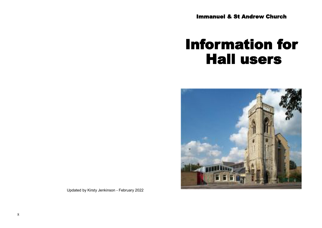Immanuel & St Andrew Church

# Information for Hall users



Updated by Kirsty Jenkinson - February 2022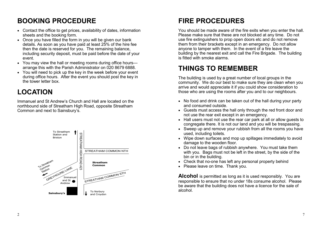## **BOOKING PROCEDURE**

- Contact the office to get prices, availability of dates, information sheets and the booking form.
- Once you have filled the form in you will be given our bank details. As soon as you have paid at least 25% of the hire fee then the date is reserved for you. The remaining balance, including security deposit, must be paid before the date of your event.
- You may view the hall or meeting rooms during office hours arrange this with the Parish Administrator on 020 8679 6888.
- You will need to pick up the key in the week before your event during office hours. After the event you should post the key in the tower letter box.

# **LOCATION**

Immanuel and St Andrew's Church and Hall are located on the northbound side of Streatham High Road, opposite Streatham Common and next to Sainsbury's.



# **FIRE PROCEDURES**

You should be made aware of the fire exits when you enter the hall. Please make sure that these are not blocked at any time. Do not use fire extinguishers to prop open doors etc and do not remove them from their brackets except in an emergency. Do not allow anyone to tamper with them. In the event of a fire leave the building by the nearest exit and call the Fire Brigade. The building is fitted with smoke alarms.

### **THINGS TO REMEMBER**

The building is used by a great number of local groups in the community. We do our best to make sure they are clean when you arrive and would appreciate it if you could show consideration to those who are using the rooms after you and to our neighbours.

- No food and drink can be taken out of the hall during your party and consumed outside.
- Guests must access the hall only through the red front door and not use the rear exit except in an emergency.
- Hall users must not use the rear car park at all or allow guests to congregate there. It is not our land and you will be trespassing.
- Sweep up and remove your rubbish from all the rooms you have used, including toilets.
- Wipe down surfaces and mop up spillages immediately to avoid damage to the wooden floor.
- Do not leave bags of rubbish anywhere. You must take them with you. Bags must not be left in the street, by the side of the bin or in the building.
- Check that no-one has left any personal property behind
- Please leave on time. Thank you.

**Alcohol** is permitted as long as it is used responsibly. You are responsible to ensure that no under 18s consume alcohol. Please be aware that the building does not have a licence for the sale of alcohol.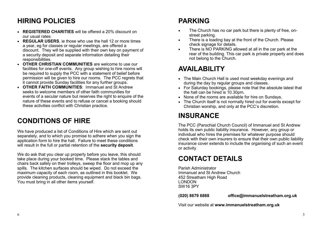# **HIRING POLICIES**

- **REGISTERED CHARITIES** will be offered a 20% discount on our usual rates.
- **REGULAR USERS**, ie those who use the hall 12 or more times a year, eg for classes or regular meetings, are offered a discount. They will be supplied with their own key on payment of a security deposit and separate information detailing their responsibilities.
- **OTHER CHRISTIAN COMMUNITIES** are welcome to use our facilities for one-off events. Any group wishing to hire rooms will be required to supply the PCC with a statement of belief before permission will be given to hire our rooms. The PCC regrets that it cannot provide Sunday facilities for any further groups.
- **OTHER FAITH COMMUNITIES**: Immanuel and St Andrew seeks to welcome members of other faith communities for events of a secular nature but reserves the right to enquire of the nature of these events and to refuse or cancel a booking should these activities conflict with Christian practice.

### **CONDITIONS OF HIRE**

We have produced a list of Conditions of Hire which are sent out separately, and to which you promise to adhere when you sign the application form to hire the hall. Failure to meet these conditions will result in the full or partial retention of the **security deposit**.

We do ask that you clear up properly before you leave, this should take place during your booked time. Please stack the tables and chairs back safely on their trolleys, sweep the floor and mop up any spills. The kitchen surfaces should be wiped. Do not exceed the maximum capacity of each room, as outlined in this booklet. We provide cleaning products, cleaning equipment and black bin bags. You must bring in all other items yourself.

# **PARKING**

- The Church has no car park but there is plenty of free, onstreet parking.
- There is a loading bay at the front of the Church. Please check signage for details.
- There is NO PARKING allowed at all in the car park at the rear of the building. This car park is private property and does not belong to the Church.

# **AVAILABILITY**

- The Main Church Hall is used most weekday evenings and during the day by regular groups and classes.
- For Saturday bookings, please note that the absolute latest that the hall can be hired is 10.30pm.
- None of the rooms are available for hire on Sundays.
- The Church itself is not normally hired out for events except for Christian worship, and only at the PCC's discretion.

### **INSURANCE**

The PCC (Parochial Church Council) of Immanuel and St Andrew holds its own public liability insurance. However, any group or individual who hires the premises for whatever purpose should check with their own insurers to ensure that their own public liability insurance cover extends to include the organising of such an event or activity.

# **CONTACT DETAILS**

Parish Administrator Immanuel and St Andrew Church 452 Streatham High Road LONDON SW16 3PY

**(020) 8679 6888 office@immanuelstreatham.org.uk**

Visit our website at **www.immanuelstreatham.org.uk**